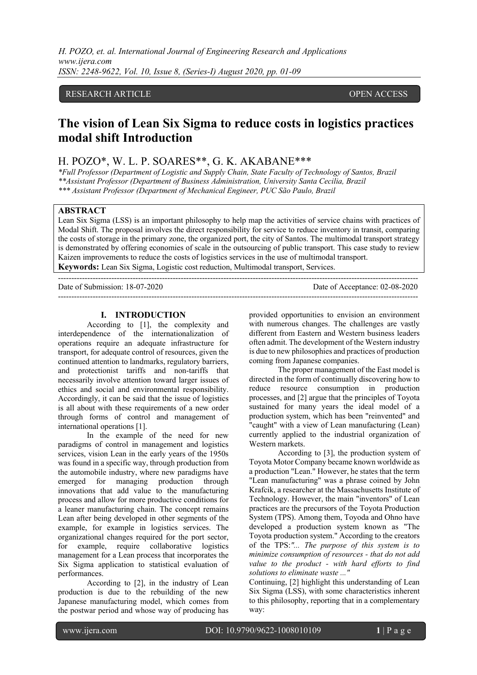*H. POZO, et. al. International Journal of Engineering Research and Applications www.ijera.com ISSN: 2248-9622, Vol. 10, Issue 8, (Series-I) August 2020, pp. 01-09*

# RESEARCH ARTICLE OPEN ACCESS

# **The vision of Lean Six Sigma to reduce costs in logistics practices modal shift Introduction**

# H. POZO\*, W. L. P. SOARES\*\*, G. K. AKABANE\*\*\*

*\*Full Professor (Department of Logistic and Supply Chain, State Faculty of Technology of Santos, Brazil \*\*Assistant Professor (Department of Business Administration, University Santa Cecilia, Brazil \*\*\* Assistant Professor (Department of Mechanical Engineer, PUC São Paulo, Brazil*

# **ABSTRACT**

Lean Six Sigma (LSS) is an important philosophy to help map the activities of service chains with practices of Modal Shift. The proposal involves the direct responsibility for service to reduce inventory in transit, comparing the costs of storage in the primary zone, the organized port, the city of Santos. The multimodal transport strategy is demonstrated by offering economies of scale in the outsourcing of public transport. This case study to review Kaizen improvements to reduce the costs of logistics services in the use of multimodal transport. **Keywords:** Lean Six Sigma, Logistic cost reduction, Multimodal transport, Services.

---------------------------------------------------------------------------------------------------------------------------------------

Date of Submission: 18-07-2020 Date of Acceptance: 02-08-2020

---------------------------------------------------------------------------------------------------------------------------------------

#### **I. INTRODUCTION**

According to [1], the complexity and interdependence of the internationalization of operations require an adequate infrastructure for transport, for adequate control of resources, given the continued attention to landmarks, regulatory barriers, and protectionist tariffs and non-tariffs that necessarily involve attention toward larger issues of ethics and social and environmental responsibility. Accordingly, it can be said that the issue of logistics is all about with these requirements of a new order through forms of control and management of international operations [1].

In the example of the need for new paradigms of control in management and logistics services, vision Lean in the early years of the 1950s was found in a specific way, through production from the automobile industry, where new paradigms have emerged for managing production through innovations that add value to the manufacturing process and allow for more productive conditions for a leaner manufacturing chain. The concept remains Lean after being developed in other segments of the example, for example in logistics services. The organizational changes required for the port sector, for example, require collaborative logistics management for a Lean process that incorporates the Six Sigma application to statistical evaluation of performances.

According to [2], in the industry of Lean production is due to the rebuilding of the new Japanese manufacturing model, which comes from the postwar period and whose way of producing has provided opportunities to envision an environment with numerous changes. The challenges are vastly different from Eastern and Western business leaders often admit. The development of the Western industry is due to new philosophies and practices of production coming from Japanese companies.

The proper management of the East model is directed in the form of continually discovering how to reduce resource consumption in production processes, and [2] argue that the principles of Toyota sustained for many years the ideal model of a production system, which has been "reinvented" and "caught" with a view of Lean manufacturing (Lean) currently applied to the industrial organization of Western markets.

According to [3], the production system of Toyota Motor Company became known worldwide as a production "Lean." However, he states that the term "Lean manufacturing" was a phrase coined by John Krafcik, a researcher at the Massachusetts Institute of Technology. However, the main "inventors" of Lean practices are the precursors of the Toyota Production System (TPS). Among them, Toyoda and Ohno have developed a production system known as "The Toyota production system." According to the creators of the TPS:*"... The purpose of this system is to minimize consumption of resources - that do not add value to the product - with hard efforts to find solutions to eliminate waste ..."* 

Continuing, [2] highlight this understanding of Lean Six Sigma (LSS), with some characteristics inherent to this philosophy, reporting that in a complementary way: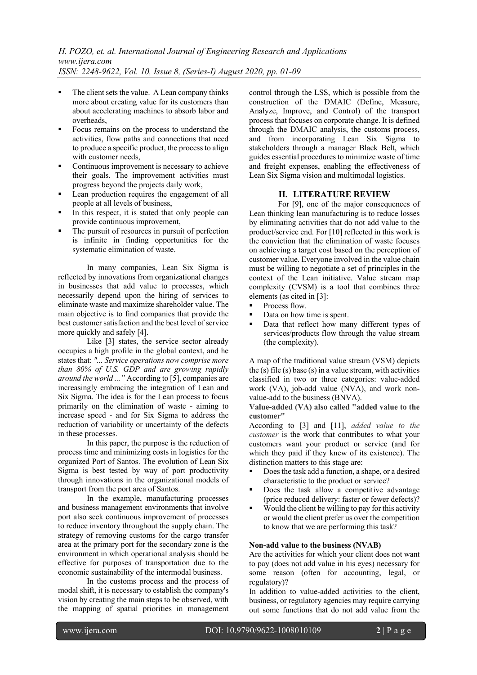- The client sets the value. A Lean company thinks more about creating value for its customers than about accelerating machines to absorb labor and overheads,
- Focus remains on the process to understand the activities, flow paths and connections that need to produce a specific product, the process to align with customer needs,
- Continuous improvement is necessary to achieve their goals. The improvement activities must progress beyond the projects daily work,
- Lean production requires the engagement of all people at all levels of business,
- In this respect, it is stated that only people can provide continuous improvement,
- The pursuit of resources in pursuit of perfection is infinite in finding opportunities for the systematic elimination of waste.

In many companies, Lean Six Sigma is reflected by innovations from organizational changes in businesses that add value to processes, which necessarily depend upon the hiring of services to eliminate waste and maximize shareholder value. The main objective is to find companies that provide the best customer satisfaction and the best level of service more quickly and safely [4].

Like [3] states, the service sector already occupies a high profile in the global context, and he states that: *"... Service operations now comprise more than 80% of U.S. GDP and are growing rapidly around the world ..."* According to [5], companies are increasingly embracing the integration of Lean and Six Sigma. The idea is for the Lean process to focus primarily on the elimination of waste - aiming to increase speed - and for Six Sigma to address the reduction of variability or uncertainty of the defects in these processes.

In this paper, the purpose is the reduction of process time and minimizing costs in logistics for the organized Port of Santos. The evolution of Lean Six Sigma is best tested by way of port productivity through innovations in the organizational models of transport from the port area of Santos.

In the example, manufacturing processes and business management environments that involve port also seek continuous improvement of processes to reduce inventory throughout the supply chain. The strategy of removing customs for the cargo transfer area at the primary port for the secondary zone is the environment in which operational analysis should be effective for purposes of transportation due to the economic sustainability of the intermodal business.

In the customs process and the process of modal shift, it is necessary to establish the company's vision by creating the main steps to be observed, with the mapping of spatial priorities in management

control through the LSS, which is possible from the construction of the DMAIC (Define, Measure, Analyze, Improve, and Control) of the transport process that focuses on corporate change. It is defined through the DMAIC analysis, the customs process, and from incorporating Lean Six Sigma to stakeholders through a manager Black Belt, which guides essential procedures to minimize waste of time and freight expenses, enabling the effectiveness of Lean Six Sigma vision and multimodal logistics.

## **II. LITERATURE REVIEW**

For [9], one of the major consequences of Lean thinking lean manufacturing is to reduce losses by eliminating activities that do not add value to the product/service end. For [10] reflected in this work is the conviction that the elimination of waste focuses on achieving a target cost based on the perception of customer value. Everyone involved in the value chain must be willing to negotiate a set of principles in the context of the Lean initiative. Value stream map complexity (CVSM) is a tool that combines three elements (as cited in [3]:

- Process flow.
- Data on how time is spent.
- § Data that reflect how many different types of services/products flow through the value stream (the complexity).

A map of the traditional value stream (VSM) depicts the (s) file (s) base (s) in a value stream, with activities classified in two or three categories: value-added work (VA), job-add value (NVA), and work nonvalue-add to the business (BNVA).

**Value-added (VA) also called "added value to the customer"**

According to [3] and [11], *added value to the customer* is the work that contributes to what your customers want your product or service (and for which they paid if they knew of its existence). The distinction matters to this stage are:

- § Does the task add a function, a shape, or a desired characteristic to the product or service?
- Does the task allow a competitive advantage (price reduced delivery: faster or fewer defects)?
- Would the client be willing to pay for this activity or would the client prefer us over the competition to know that we are performing this task?

## **Non-add value to the business (NVAB)**

Are the activities for which your client does not want to pay (does not add value in his eyes) necessary for some reason (often for accounting, legal, or regulatory)?

In addition to value-added activities to the client, business, or regulatory agencies may require carrying out some functions that do not add value from the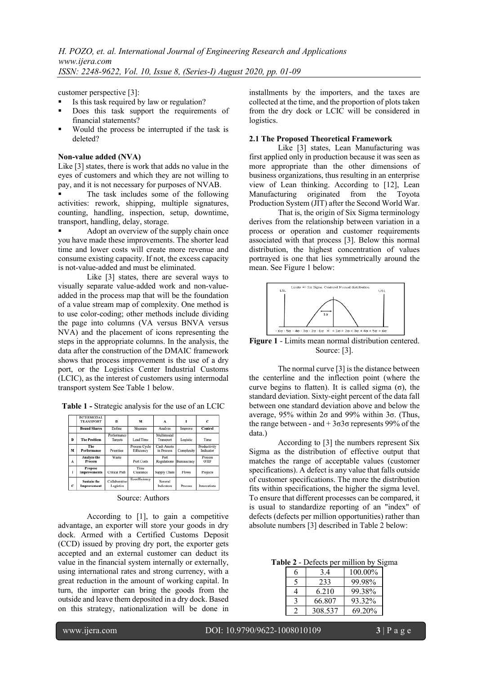customer perspective [3]:

- Is this task required by law or regulation?
- Does this task support the requirements of financial statements?
- § Would the process be interrupted if the task is deleted?

#### **Non-value added (NVA)**

Like [3] states, there is work that adds no value in the eyes of customers and which they are not willing to pay, and it is not necessary for purposes of NVAB.

The task includes some of the following activities: rework, shipping, multiple signatures, counting, handling, inspection, setup, downtime, transport, handling, delay, storage.

Adopt an overview of the supply chain once you have made these improvements. The shorter lead time and lower costs will create more revenue and consume existing capacity. If not, the excess capacity is not-value-added and must be eliminated.

Like [3] states, there are several ways to visually separate value-added work and non-valueadded in the process map that will be the foundation of a value stream map of complexity. One method is to use color-coding; other methods include dividing the page into columns (VA versus BNVA versus NVA) and the placement of icons representing the steps in the appropriate columns. In the analysis, the data after the construction of the DMAIC framework shows that process improvement is the use of a dry port, or the Logistics Center Industrial Customs (LCIC), as the interest of customers using intermodal transport system See Table 1 below.

**Table 1 -** Strategic analysis for the use of an LCIC

|   | <b>INTERMODAL</b><br><b>TRANSPORT</b> | D                          | м                           | л                         |             | C                         |
|---|---------------------------------------|----------------------------|-----------------------------|---------------------------|-------------|---------------------------|
|   | <b>Bound Shares</b>                   | Define                     | Measure                     | Analyze                   | Improve     | Control                   |
| D | <b>The Problem</b>                    | Performance<br>Targets     | Lead Time                   | Multimodal<br>Transport   | Logistic    | Time                      |
| м | The<br>Performance                    | Priorities                 | Process Cycle<br>Efficiency | Cash Assets<br>in Process | Complexity  | Productivity<br>Indicator |
| л | Analyze the<br><b>Process</b>         | Waste                      | Port Costs                  | Port<br>Regulations       | Bureaucracy | Process<br>OTIF           |
| I | Propose<br>Improvements               | Critical Path              | Time<br>Clearance           | Supply Chain              | Flows       | Projects                  |
| c | <b>Sustain the</b><br>Improvement     | Collaborative<br>Logistics | Ecoefficiency               | Several<br>Indicators     | Process     | Innovations               |

#### Source: Authors

According to [1], to gain a competitive advantage, an exporter will store your goods in dry dock. Armed with a Certified Customs Deposit (CCD) issued by proving dry port, the exporter gets accepted and an external customer can deduct its value in the financial system internally or externally, using international rates and strong currency, with a great reduction in the amount of working capital. In turn, the importer can bring the goods from the outside and leave them deposited in a dry dock. Based on this strategy, nationalization will be done in installments by the importers, and the taxes are collected at the time, and the proportion of plots taken from the dry dock or LCIC will be considered in logistics.

#### **2.1 The Proposed Theoretical Framework**

Like [3] states, Lean Manufacturing was first applied only in production because it was seen as more appropriate than the other dimensions of business organizations, thus resulting in an enterprise view of Lean thinking. According to [12], Lean Manufacturing originated from the Toyota Production System (JIT) after the Second World War.

That is, the origin of Six Sigma terminology derives from the relationship between variation in a process or operation and customer requirements associated with that process [3]. Below this normal distribution, the highest concentration of values portrayed is one that lies symmetrically around the mean. See Figure 1 below:



**Figure 1** - Limits mean normal distribution centered. Source: [3].

The normal curve [3] is the distance between the centerline and the inflection point (where the curve begins to flatten). It is called sigma (σ), the standard deviation. Sixty-eight percent of the data fall between one standard deviation above and below the average, 95% within 2σ and 99% within 3σ. (Thus, the range between - and  $+3σ3σ$  represents 99% of the data.)

According to [3] the numbers represent Six Sigma as the distribution of effective output that matches the range of acceptable values (customer specifications). A defect is any value that falls outside of customer specifications. The more the distribution fits within specifications, the higher the sigma level. To ensure that different processes can be compared, it is usual to standardize reporting of an "index" of defects (defects per million opportunities) rather than absolute numbers [3] described in Table 2 below:

**Table 2** - Defects per million by Sigma

| 3.4     | 100.00% |
|---------|---------|
| 233     | 99.98%  |
| 6.210   | 99.38%  |
| 66.807  | 93.32%  |
| 308.537 | 69.20%  |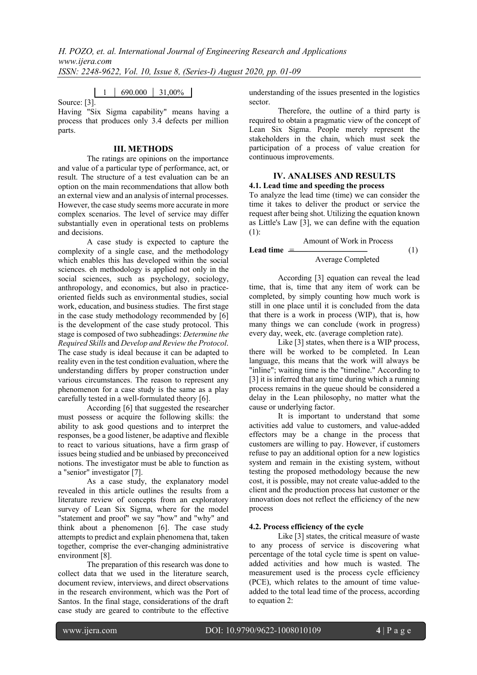*H. POZO, et. al. International Journal of Engineering Research and Applications www.ijera.com ISSN: 2248-9622, Vol. 10, Issue 8, (Series-I) August 2020, pp. 01-09*

1 690,000 31,00%

Source: [3].

Having "Six Sigma capability" means having a process that produces only 3.4 defects per million parts.

## **III. METHODS**

The ratings are opinions on the importance and value of a particular type of performance, act, or result. The structure of a test evaluation can be an option on the main recommendations that allow both an external view and an analysis of internal processes. However, the case study seems more accurate in more complex scenarios. The level of service may differ substantially even in operational tests on problems and decisions.

A case study is expected to capture the complexity of a single case, and the methodology which enables this has developed within the social sciences. eh methodology is applied not only in the social sciences, such as psychology, sociology, anthropology, and economics, but also in practiceoriented fields such as environmental studies, social work, education, and business studies. The first stage in the case study methodology recommended by [6] is the development of the case study protocol. This stage is composed of two subheadings: *Determine the Required Skills* and *Develop and Review the Protocol*. The case study is ideal because it can be adapted to reality even in the test condition evaluation, where the understanding differs by proper construction under various circumstances. The reason to represent any phenomenon for a case study is the same as a play carefully tested in a well-formulated theory [6].

According [6] that suggested the researcher must possess or acquire the following skills: the ability to ask good questions and to interpret the responses, be a good listener, be adaptive and flexible to react to various situations, have a firm grasp of issues being studied and be unbiased by preconceived notions. The investigator must be able to function as a "senior" investigator [7].

As a case study, the explanatory model revealed in this article outlines the results from a literature review of concepts from an exploratory survey of Lean Six Sigma, where for the model "statement and proof" we say "how" and "why" and think about a phenomenon [6]. The case study attempts to predict and explain phenomena that, taken together, comprise the ever-changing administrative environment [8].

The preparation of this research was done to collect data that we used in the literature search, document review, interviews, and direct observations in the research environment, which was the Port of Santos. In the final stage, considerations of the draft case study are geared to contribute to the effective

understanding of the issues presented in the logistics sector.

Therefore, the outline of a third party is required to obtain a pragmatic view of the concept of Lean Six Sigma. People merely represent the stakeholders in the chain, which must seek the participation of a process of value creation for continuous improvements.

## **IV. ANALISES AND RESULTS 4.1. Lead time and speeding the process**

To analyze the lead time (time) we can consider the time it takes to deliver the product or service the request after being shot. Utilizing the equation known as Little's Law [3], we can define with the equation (1):

Amount of Work in Process

**Leaf time** = 
$$
\overline{Average Complete}
$$
 (1)

According [3] equation can reveal the lead time, that is, time that any item of work can be completed, by simply counting how much work is still in one place until it is concluded from the data that there is a work in process (WIP), that is, how many things we can conclude (work in progress) every day, week, etc. (average completion rate).

Like [3] states, when there is a WIP process, there will be worked to be completed. In Lean language, this means that the work will always be "inline"; waiting time is the "timeline." According to [3] it is inferred that any time during which a running process remains in the queue should be considered a delay in the Lean philosophy, no matter what the cause or underlying factor.

It is important to understand that some activities add value to customers, and value-added effectors may be a change in the process that customers are willing to pay. However, if customers refuse to pay an additional option for a new logistics system and remain in the existing system, without testing the proposed methodology because the new cost, it is possible, may not create value-added to the client and the production process hat customer or the innovation does not reflect the efficiency of the new process

## **4.2. Process efficiency of the cycle**

Like [3] states, the critical measure of waste to any process of service is discovering what percentage of the total cycle time is spent on valueadded activities and how much is wasted. The measurement used is the process cycle efficiency (PCE), which relates to the amount of time valueadded to the total lead time of the process, according to equation 2: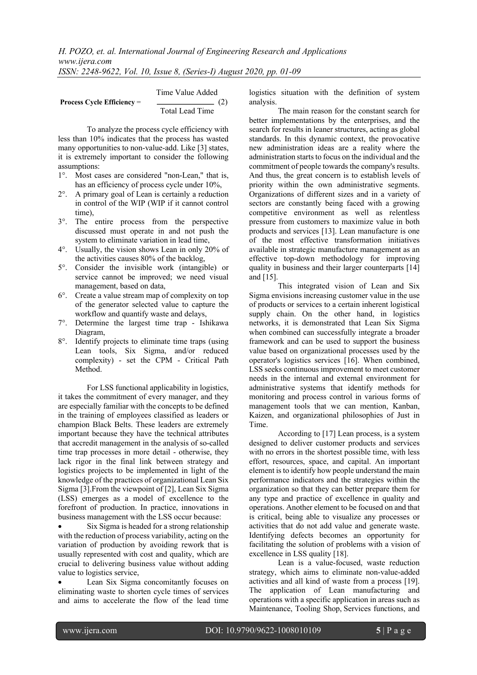|                                                | Time Value Added |     |
|------------------------------------------------|------------------|-----|
| <b>Process Cycle Efficiency <math>=</math></b> |                  | (2) |
|                                                | Total Lead Time  |     |

To analyze the process cycle efficiency with less than 10% indicates that the process has wasted many opportunities to non-value-add. Like [3] states, it is extremely important to consider the following assumptions:

- 1°. Most cases are considered "non-Lean," that is, has an efficiency of process cycle under 10%,
- 2°. A primary goal of Lean is certainly a reduction in control of the WIP (WIP if it cannot control time),
- 3°. The entire process from the perspective discussed must operate in and not push the system to eliminate variation in lead time,
- 4°. Usually, the vision shows Lean in only 20% of the activities causes 80% of the backlog,
- 5°. Consider the invisible work (intangible) or service cannot be improved; we need visual management, based on data,
- 6°. Create a value stream map of complexity on top of the generator selected value to capture the workflow and quantify waste and delays,
- 7°. Determine the largest time trap Ishikawa Diagram,
- 8°. Identify projects to eliminate time traps (using Lean tools, Six Sigma, and/or reduced complexity) - set the CPM - Critical Path Method.

For LSS functional applicability in logistics, it takes the commitment of every manager, and they are especially familiar with the concepts to be defined in the training of employees classified as leaders or champion Black Belts. These leaders are extremely important because they have the technical attributes that accredit management in the analysis of so-called time trap processes in more detail - otherwise, they lack rigor in the final link between strategy and logistics projects to be implemented in light of the knowledge of the practices of organizational Lean Six Sigma [3].From the viewpoint of [2], Lean Six Sigma (LSS) emerges as a model of excellence to the forefront of production. In practice, innovations in business management with the LSS occur because:

Six Sigma is headed for a strong relationship with the reduction of process variability, acting on the variation of production by avoiding rework that is usually represented with cost and quality, which are crucial to delivering business value without adding value to logistics service,

Lean Six Sigma concomitantly focuses on eliminating waste to shorten cycle times of services and aims to accelerate the flow of the lead time

logistics situation with the definition of system analysis.

The main reason for the constant search for better implementations by the enterprises, and the search for results in leaner structures, acting as global standards. In this dynamic context, the provocative new administration ideas are a reality where the administration starts to focus on the individual and the commitment of people towards the company's results. And thus, the great concern is to establish levels of priority within the own administrative segments. Organizations of different sizes and in a variety of sectors are constantly being faced with a growing competitive environment as well as relentless pressure from customers to maximize value in both products and services [13]. Lean manufacture is one of the most effective transformation initiatives available in strategic manufacture management as an effective top-down methodology for improving quality in business and their larger counterparts [14] and [15].

This integrated vision of Lean and Six Sigma envisions increasing customer value in the use of products or services to a certain inherent logistical supply chain. On the other hand, in logistics networks, it is demonstrated that Lean Six Sigma when combined can successfully integrate a broader framework and can be used to support the business value based on organizational processes used by the operator's logistics services [16]. When combined, LSS seeks continuous improvement to meet customer needs in the internal and external environment for administrative systems that identify methods for monitoring and process control in various forms of management tools that we can mention, Kanban, Kaizen, and organizational philosophies of Just in Time.

According to [17] Lean process, is a system designed to deliver customer products and services with no errors in the shortest possible time, with less effort, resources, space, and capital. An important element is to identify how people understand the main performance indicators and the strategies within the organization so that they can better prepare them for any type and practice of excellence in quality and operations. Another element to be focused on and that is critical, being able to visualize any processes or activities that do not add value and generate waste. Identifying defects becomes an opportunity for facilitating the solution of problems with a vision of excellence in LSS quality [18].

Lean is a value-focused, waste reduction strategy, which aims to eliminate non-value-added activities and all kind of waste from a process [19]. The application of Lean manufacturing and operations with a specific application in areas such as Maintenance, Tooling Shop, Services functions, and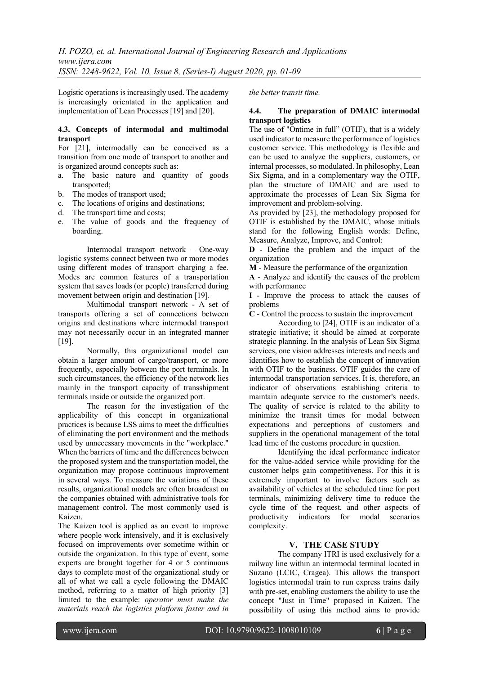Logistic operations is increasingly used. The academy is increasingly orientated in the application and implementation of Lean Processes [19] and [20].

## **4.3. Concepts of intermodal and multimodal transport**

For [21], intermodally can be conceived as a transition from one mode of transport to another and is organized around concepts such as:

- a. The basic nature and quantity of goods transported;
- b. The modes of transport used;
- c. The locations of origins and destinations;
- d. The transport time and costs;
- e. The value of goods and the frequency of boarding.

Intermodal transport network – One-way logistic systems connect between two or more modes using different modes of transport charging a fee. Modes are common features of a transportation system that saves loads (or people) transferred during movement between origin and destination [19].

Multimodal transport network - A set of transports offering a set of connections between origins and destinations where intermodal transport may not necessarily occur in an integrated manner [19].

Normally, this organizational model can obtain a larger amount of cargo/transport, or more frequently, especially between the port terminals. In such circumstances, the efficiency of the network lies mainly in the transport capacity of transshipment terminals inside or outside the organized port.

The reason for the investigation of the applicability of this concept in organizational practices is because LSS aims to meet the difficulties of eliminating the port environment and the methods used by unnecessary movements in the "workplace." When the barriers of time and the differences between the proposed system and the transportation model, the organization may propose continuous improvement in several ways. To measure the variations of these results, organizational models are often broadcast on the companies obtained with administrative tools for management control. The most commonly used is Kaizen.

The Kaizen tool is applied as an event to improve where people work intensively, and it is exclusively focused on improvements over sometime within or outside the organization. In this type of event, some experts are brought together for 4 or 5 continuous days to complete most of the organizational study or all of what we call a cycle following the DMAIC method, referring to a matter of high priority [3] limited to the example: *operator must make the materials reach the logistics platform faster and in* 

*the better transit time.*

## **4.4. The preparation of DMAIC intermodal transport logistics**

The use of "Ontime in full" (OTIF), that is a widely used indicator to measure the performance of logistics customer service. This methodology is flexible and can be used to analyze the suppliers, customers, or internal processes, so modulated. In philosophy, Lean Six Sigma, and in a complementary way the OTIF, plan the structure of DMAIC and are used to approximate the processes of Lean Six Sigma for improvement and problem-solving.

As provided by [23], the methodology proposed for OTIF is established by the DMAIC, whose initials stand for the following English words: Define, Measure, Analyze, Improve, and Control:

**D** - Define the problem and the impact of the organization

**M** - Measure the performance of the organization

**A** - Analyze and identify the causes of the problem with performance

**I** - Improve the process to attack the causes of problems

**C** - Control the process to sustain the improvement

According to [24], OTIF is an indicator of a strategic initiative; it should be aimed at corporate strategic planning. In the analysis of Lean Six Sigma services, one vision addresses interests and needs and identifies how to establish the concept of innovation with OTIF to the business. OTIF guides the care of intermodal transportation services. It is, therefore, an indicator of observations establishing criteria to maintain adequate service to the customer's needs. The quality of service is related to the ability to minimize the transit times for modal between expectations and perceptions of customers and suppliers in the operational management of the total lead time of the customs procedure in question.

Identifying the ideal performance indicator for the value-added service while providing for the customer helps gain competitiveness. For this it is extremely important to involve factors such as availability of vehicles at the scheduled time for port terminals, minimizing delivery time to reduce the cycle time of the request, and other aspects of productivity indicators for modal scenarios complexity.

## **V. THE CASE STUDY**

The company ITRI is used exclusively for a railway line within an intermodal terminal located in Suzano (LCIC, Cragea). This allows the transport logistics intermodal train to run express trains daily with pre-set, enabling customers the ability to use the concept "Just in Time" proposed in Kaizen. The possibility of using this method aims to provide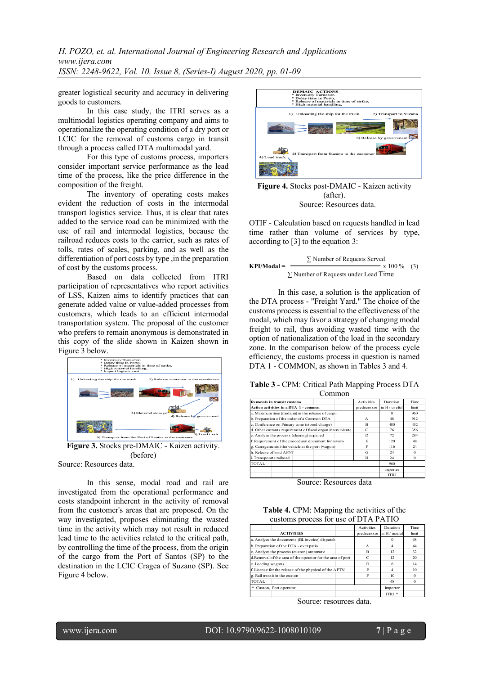*H. POZO, et. al. International Journal of Engineering Research and Applications www.ijera.com ISSN: 2248-9622, Vol. 10, Issue 8, (Series-I) August 2020, pp. 01-09*

greater logistical security and accuracy in delivering goods to customers.

In this case study, the ITRI serves as a multimodal logistics operating company and aims to operationalize the operating condition of a dry port or LCIC for the removal of customs cargo in transit through a process called DTA multimodal yard.

For this type of customs process, importers consider important service performance as the lead time of the process, like the price difference in the composition of the freight.

The inventory of operating costs makes evident the reduction of costs in the intermodal transport logistics service. Thus, it is clear that rates added to the service road can be minimized with the use of rail and intermodal logistics, because the railroad reduces costs to the carrier, such as rates of tolls, rates of scales, parking, and as well as the differentiation of port costs by type, in the preparation of cost by the customs process.

Based on data collected from ITRI participation of representatives who report activities of LSS, Kaizen aims to identify practices that can generate added value or value-added processes from customers, which leads to an efficient intermodal transportation system. The proposal of the customer who prefers to remain anonymous is demonstrated in this copy of the slide shown in Kaizen shown in Figure 3 below.



**Figure 3.** Stocks pre-DMAIC - Kaizen activity. (before)

Source: Resources data.

In this sense, modal road and rail are investigated from the operational performance and costs standpoint inherent in the activity of removal from the customer's areas that are proposed. On the way investigated, proposes eliminating the wasted time in the activity which may not result in reduced lead time to the activities related to the critical path, by controlling the time of the process, from the origin of the cargo from the Port of Santos (SP) to the destination in the LCIC Cragea of Suzano (SP). See Figure 4 below.



**Figure 4.** Stocks post-DMAIC - Kaizen activity (after). Source: Resources data.

OTIF - Calculation based on requests handled in lead time rather than volume of services by type, according to [3] to the equation 3:

KPI/Modal = 
$$
\frac{\sum \text{Number of Requests Served}}{\sum \text{Number of Requests under Lead Time}}
$$
 (3)

In this case, a solution is the application of the DTA process - "Freight Yard." The choice of the customs process is essential to the effectiveness of the modal, which may favor a strategy of changing modal freight to rail, thus avoiding wasted time with the option of nationalization of the load in the secondary zone. In the comparison below of the process cycle efficiency, the customs process in question is named DTA 1 - COMMON, as shown in Tables 3 and 4.

| Table 3 - CPM: Critical Path Mapping Process DTA |  |  |  |  |
|--------------------------------------------------|--|--|--|--|
|--------------------------------------------------|--|--|--|--|

| mmon                                                        |                   |               |             |
|-------------------------------------------------------------|-------------------|---------------|-------------|
| <b>Removals in transit customs</b>                          | <b>Activities</b> | Duration      | <b>Time</b> |
| <b>Action activities in a DTA 1 - common</b>                | predecessor       | in H / useful | limit       |
| a. Maximum time (medium) in the release of cargo            |                   | $\Omega$      | 960         |
| b. Preparation of the order of a Common DTA                 | $\mathbf{A}$      | 48            | 912         |
| c. Conference on Primary zone (stored charge)               | R                 | 480           | 432         |
| d. Other entrants requirement of fiscal organ interviniente | C                 | 76            | 356         |
| e. Analyze the process (clearing) impaired                  | D                 | 72            | 284         |
| f. Requirement of the procedural document for review        | E.                | 120           | 48          |
| g. Carregamentoi the vehicle at the port (wagon)            | F                 | 116           | 24          |
| h. Release of load A FNT                                    | G                 | 24            | $\Omega$    |
| i. Transpoorte railroad                                     | н                 | 24            | $\Omega$    |
| TOTAL.                                                      |                   | 960           |             |
|                                                             |                   | importer      |             |
|                                                             |                   | <b>ITRI</b>   |             |

Source: Resources data

| Table 4. CPM: Mapping the activities of the |  |
|---------------------------------------------|--|
| customs process for use of DTA PATIO        |  |

| ced  |                                                            | <b>Activities</b>           | Duration          | <b>Time</b> |
|------|------------------------------------------------------------|-----------------------------|-------------------|-------------|
|      | <b>ACTIVITIES</b>                                          | predecessor in H / useful   |                   | limit       |
| ath, | a. Analyze the documents (BL invoice) dispatch             |                             |                   | 48          |
| gın  | b. Preparation of the DTA - over patio                     | A                           |                   | 44          |
|      | c. Analyze the process (custon) automatic                  | B                           | 12                | 32          |
| the  | d.Removal of the area of the operator for the area of port | $\mathcal{C}_{\mathcal{C}}$ | 12                | 20          |
| See  | e. Loading wagons                                          | D                           | 6                 | 14          |
|      | f. License for the release of the physical of the AFTN     | E                           | 4                 | 10          |
|      | g. Rail transit in the custon                              | F                           | 10                |             |
|      | TOTAL                                                      |                             | 48                | $\Omega$    |
|      | * Custon, Port operator                                    |                             | importer          |             |
|      |                                                            |                             | ITRI <sup>*</sup> |             |

Source: resources data.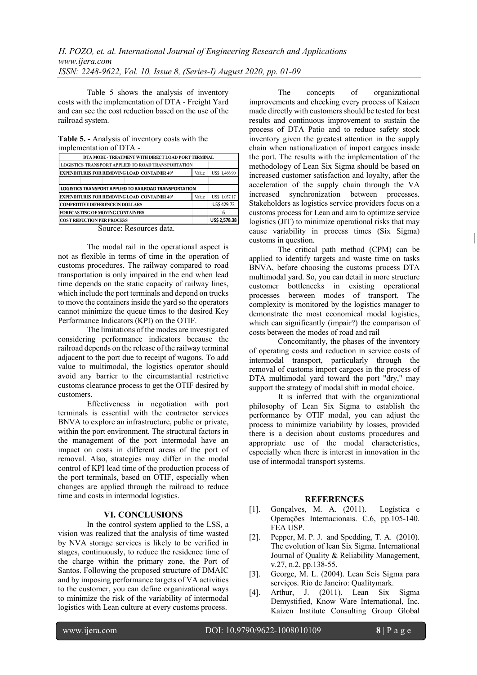Table 5 shows the analysis of inventory costs with the implementation of DTA - Freight Yard and can see the cost reduction based on the use of the railroad system.

**Table 5. -** Analysis of inventory costs with the implementation of DTA -

| DTA MODE - TREATMENT WITH DIRECT LOAD PORT TERMINAL       |       |               |
|-----------------------------------------------------------|-------|---------------|
| <b>LOGISTICS TRANSPORT APPLIED TO ROAD TRANSPORTATION</b> |       |               |
| <b>EXPENDITURES FOR REMOVING LOAD CONTAINER 40'</b>       | Value | US\$ 1,466.90 |
|                                                           |       |               |
| LOGISTICS TRANSPORT APPLIED TO RAILROAD TRANSPORTATION    |       |               |
| <b>EXPENDITURES FOR REMOVING LOAD CONTAINER 40'</b>       | Value | US\$ 1,037.17 |
| <b>COMPETITIVE DIFFERENCE IN DOLLARS</b>                  |       | US\$429.73    |
| <b>FORECASTING OF MOVING CONTAINERS</b>                   |       | 6             |
| <b>COST REDUCTION PER PROCESS</b>                         |       | US\$ 2,578.38 |
| $\blacksquare$<br>$\overline{\phantom{a}}$<br>$\sim$      |       |               |

Source: Resources data.

The modal rail in the operational aspect is not as flexible in terms of time in the operation of customs procedures. The railway compared to road transportation is only impaired in the end when lead time depends on the static capacity of railway lines, which include the port terminals and depend on trucks to move the containers inside the yard so the operators cannot minimize the queue times to the desired Key Performance Indicators (KPI) on the OTIF.

The limitations of the modes are investigated considering performance indicators because the railroad depends on the release of the railway terminal adjacent to the port due to receipt of wagons. To add value to multimodal, the logistics operator should avoid any barrier to the circumstantial restrictive customs clearance process to get the OTIF desired by customers.

Effectiveness in negotiation with port terminals is essential with the contractor services BNVA to explore an infrastructure, public or private, within the port environment. The structural factors in the management of the port intermodal have an impact on costs in different areas of the port of removal. Also, strategies may differ in the modal control of KPI lead time of the production process of the port terminals, based on OTIF, especially when changes are applied through the railroad to reduce time and costs in intermodal logistics.

## **VI. CONCLUSIONS**

In the control system applied to the LSS, a vision was realized that the analysis of time wasted by NVA storage services is likely to be verified in stages, continuously, to reduce the residence time of the charge within the primary zone, the Port of Santos. Following the proposed structure of DMAIC and by imposing performance targets of VA activities to the customer, you can define organizational ways to minimize the risk of the variability of intermodal logistics with Lean culture at every customs process.

The concepts of organizational improvements and checking every process of Kaizen made directly with customers should be tested for best results and continuous improvement to sustain the process of DTA Patio and to reduce safety stock inventory given the greatest attention in the supply chain when nationalization of import cargoes inside the port. The results with the implementation of the methodology of Lean Six Sigma should be based on increased customer satisfaction and loyalty, after the acceleration of the supply chain through the VA increased synchronization between processes. Stakeholders as logistics service providers focus on a customs process for Lean and aim to optimize service logistics (JIT) to minimize operational risks that may cause variability in process times (Six Sigma) customs in question.

The critical path method (CPM) can be applied to identify targets and waste time on tasks BNVA, before choosing the customs process DTA multimodal yard. So, you can detail in more structure customer bottlenecks in existing operational processes between modes of transport. The complexity is monitored by the logistics manager to demonstrate the most economical modal logistics, which can significantly (impair?) the comparison of costs between the modes of road and rail

Concomitantly, the phases of the inventory of operating costs and reduction in service costs of intermodal transport, particularly through the removal of customs import cargoes in the process of DTA multimodal yard toward the port "dry," may support the strategy of modal shift in modal choice.

It is inferred that with the organizational philosophy of Lean Six Sigma to establish the performance by OTIF modal, you can adjust the process to minimize variability by losses, provided there is a decision about customs procedures and appropriate use of the modal characteristics, especially when there is interest in innovation in the use of intermodal transport systems.

### **REFERENCES**

- [1]. Gonçalves, M. A. (2011). Logística e Operações Internacionais. C.6, pp.105-140. FEA USP.
- [2]. Pepper, M. P. J. and Spedding, T. A. (2010). The evolution of lean Six Sigma. International Journal of Quality & Reliability Management, v.27, n.2, pp.138-55.
- [3]. George, M. L. (2004). Lean Seis Sigma para serviços. Rio de Janeiro: Qualitymark.
- [4]. Arthur, J. (2011). Lean Six Sigma Demystified, Know Ware International, Inc. Kaizen Institute Consulting Group Global